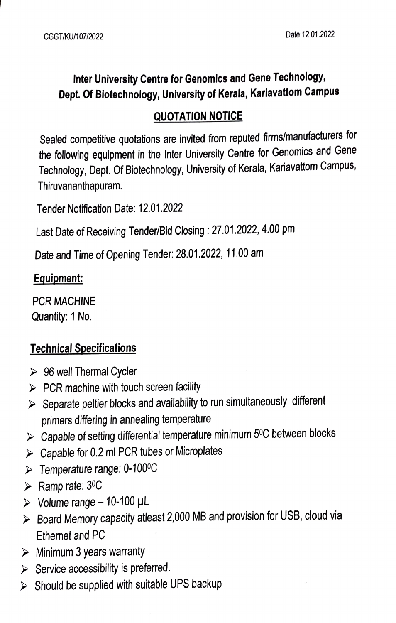## Inter University Centre for Genomics and Gene Technology, Dept. Of Biotechnology, University of Kerala, Karlavattom Campus

#### QUOTATION NOTICE

Sealed competitive quotations are invited from reputed firms/manufacturers for the following equipment in the Inter University Centre for Genomics and Gene Technology, Dept. Of Biotechnology, University of Kerala, Kariavattom Campus, Thiruvananthapuram.

Tender Notification Date: 12.01.2022

Last Date of Receiving Tender/Bid Closing: 27.01.2022, 4.00 pm

Date and Time of Opening Tender: 28.01.2022, 11.00 am

#### Equipment:

PCR MACHINE Quantity: 1 No

## Technical Specifications

- $\geq$  96 well Thermal Cycler
- $\triangleright$  PCR machine with touch screen facility
- $\triangleright$  Separate peltier blocks and availability to run simultaneously different primers difering in annealing temperature
- $\triangleright$  Capable of setting differential temperature minimum 5<sup>0</sup>C between blocks
- $\triangleright$  Capable for 0.2 ml PCR tubes or Microplates
- Temperature range: 0-1009C
- $\triangleright$  Ramp rate: 3<sup>0</sup>C
- $\triangleright$  Volume range 10-100 µL
- ▶ Board Memory capacity atleast 2,000 MB and provision for USB, cloud via Ethernet and PC
- $\triangleright$  Minimum 3 years warranty
- $\triangleright$  Service accessibility is preferred.
- $\triangleright$  Should be supplied with suitable UPS backup